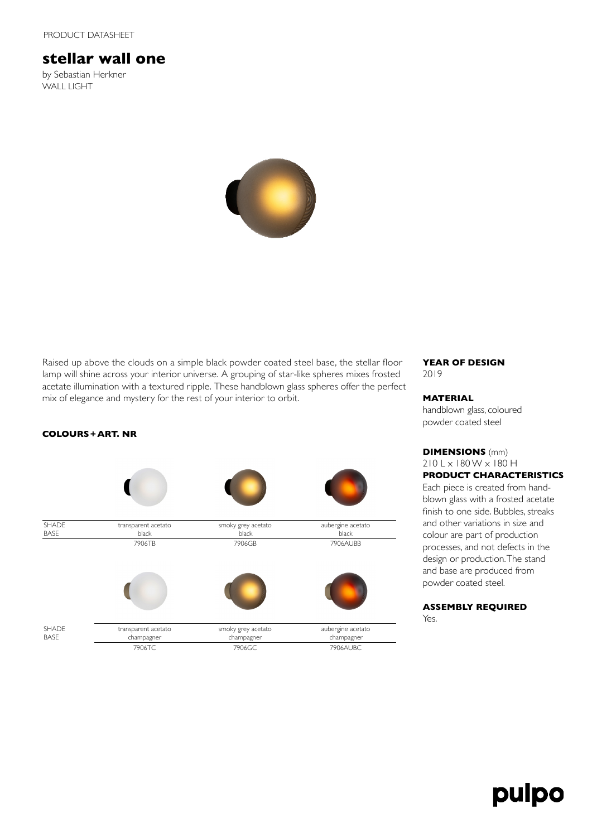# **stellar wall one**

by Sebastian Herkner WALL LIGHT



Raised up above the clouds on a simple black powder coated steel base, the stellar floor lamp will shine across your interior universe. A grouping of star-like spheres mixes frosted acetate illumination with a textured ripple. These handblown glass spheres offer the perfect mix of elegance and mystery for the rest of your interior to orbit.

### **YEAR OF DESIGN** 2019

#### **MATERIAL**

handblown glass, coloured powder coated steel

**DIMENSIONS** (mm)  $210$  L  $\times$  180 W  $\times$  180 H **PRODUCT CHARACTERISTICS**

Each piece is created from handblown glass with a frosted acetate finish to one side. Bubbles, streaks and other variations in size and colour are part of production processes, and not defects in the design or production. The stand and base are produced from powder coated steel.

# **ASSEMBLY REQUIRED**

Yes.

# **COLOURS+ART. NR**

| <b>SHADE</b><br><b>BASE</b> | transparent acetato<br>black      | smoky grey acetato<br>black      | aubergine acetato<br>black      |
|-----------------------------|-----------------------------------|----------------------------------|---------------------------------|
|                             | 7906TB                            | 7906GB                           | 7906AUBB                        |
| <b>SHADE</b><br><b>BASE</b> | transparent acetato<br>champagner | smoky grey acetato<br>champagner | aubergine acetato<br>champagner |
|                             | 7906TC                            | 7906GC                           | 7906AUBC                        |

pulpo